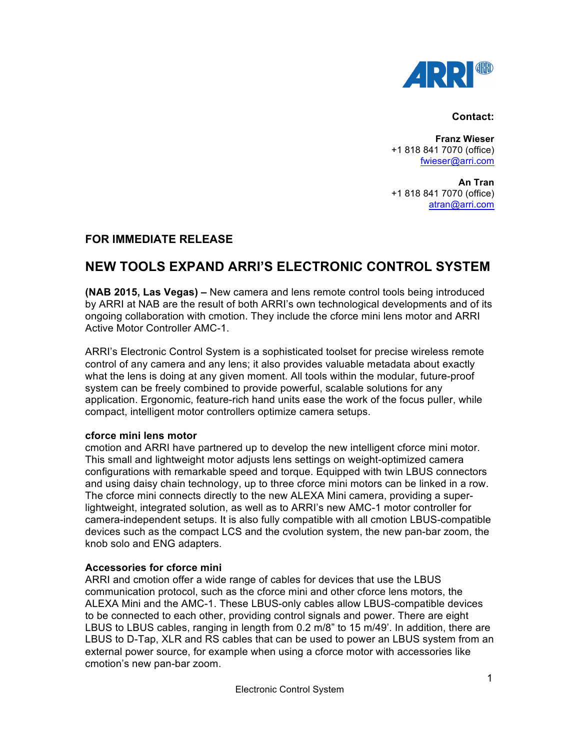

#### **Contact:**

**Franz Wieser** +1 818 841 7070 (office) fwieser@arri.com

**An Tran** +1 818 841 7070 (office) atran@arri.com

## **FOR IMMEDIATE RELEASE**

# **NEW TOOLS EXPAND ARRI'S ELECTRONIC CONTROL SYSTEM**

**(NAB 2015, Las Vegas) –** New camera and lens remote control tools being introduced by ARRI at NAB are the result of both ARRI's own technological developments and of its ongoing collaboration with cmotion. They include the cforce mini lens motor and ARRI Active Motor Controller AMC-1.

ARRI's Electronic Control System is a sophisticated toolset for precise wireless remote control of any camera and any lens; it also provides valuable metadata about exactly what the lens is doing at any given moment. All tools within the modular, future-proof system can be freely combined to provide powerful, scalable solutions for any application. Ergonomic, feature-rich hand units ease the work of the focus puller, while compact, intelligent motor controllers optimize camera setups.

## **cforce mini lens motor**

cmotion and ARRI have partnered up to develop the new intelligent cforce mini motor. This small and lightweight motor adjusts lens settings on weight-optimized camera configurations with remarkable speed and torque. Equipped with twin LBUS connectors and using daisy chain technology, up to three cforce mini motors can be linked in a row. The cforce mini connects directly to the new ALEXA Mini camera, providing a superlightweight, integrated solution, as well as to ARRI's new AMC-1 motor controller for camera-independent setups. It is also fully compatible with all cmotion LBUS-compatible devices such as the compact LCS and the cvolution system, the new pan-bar zoom, the knob solo and ENG adapters.

## **Accessories for cforce mini**

ARRI and cmotion offer a wide range of cables for devices that use the LBUS communication protocol, such as the cforce mini and other cforce lens motors, the ALEXA Mini and the AMC-1. These LBUS-only cables allow LBUS-compatible devices to be connected to each other, providing control signals and power. There are eight LBUS to LBUS cables, ranging in length from 0.2 m/8" to 15 m/49'. In addition, there are LBUS to D-Tap, XLR and RS cables that can be used to power an LBUS system from an external power source, for example when using a cforce motor with accessories like cmotion's new pan-bar zoom.